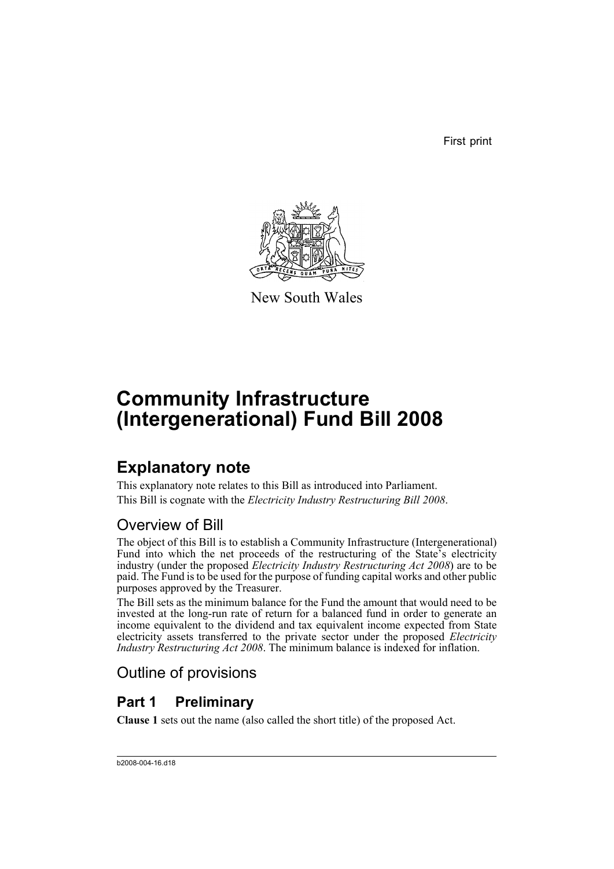First print



New South Wales

# **Community Infrastructure (Intergenerational) Fund Bill 2008**

## **Explanatory note**

This explanatory note relates to this Bill as introduced into Parliament. This Bill is cognate with the *Electricity Industry Restructuring Bill 2008*.

## Overview of Bill

The object of this Bill is to establish a Community Infrastructure (Intergenerational) Fund into which the net proceeds of the restructuring of the State's electricity industry (under the proposed *Electricity Industry Restructuring Act 2008*) are to be paid. The Fund is to be used for the purpose of funding capital works and other public purposes approved by the Treasurer.

The Bill sets as the minimum balance for the Fund the amount that would need to be invested at the long-run rate of return for a balanced fund in order to generate an income equivalent to the dividend and tax equivalent income expected from State electricity assets transferred to the private sector under the proposed *Electricity Industry Restructuring Act 2008*. The minimum balance is indexed for inflation.

## Outline of provisions

## **Part 1 Preliminary**

**Clause 1** sets out the name (also called the short title) of the proposed Act.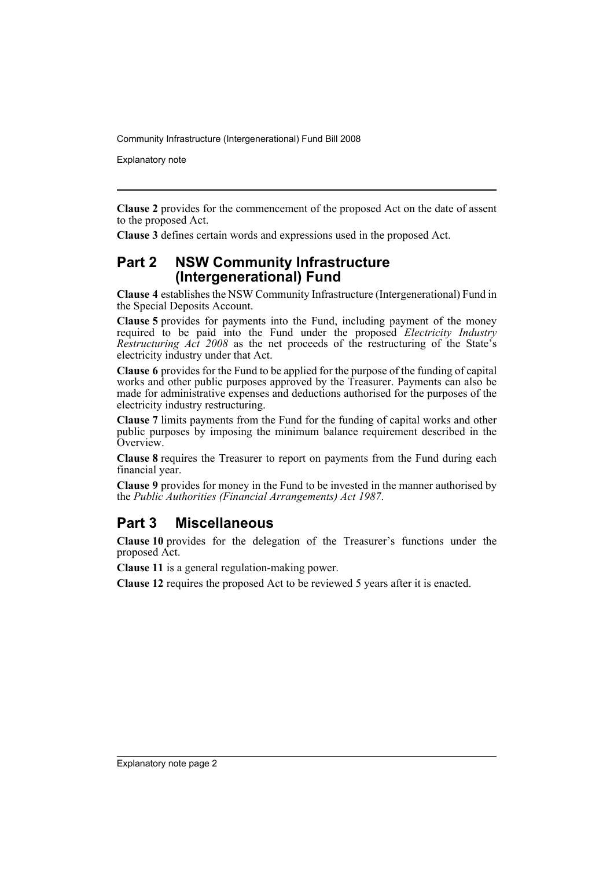Community Infrastructure (Intergenerational) Fund Bill 2008

Explanatory note

**Clause 2** provides for the commencement of the proposed Act on the date of assent to the proposed Act.

**Clause 3** defines certain words and expressions used in the proposed Act.

#### **Part 2 NSW Community Infrastructure (Intergenerational) Fund**

**Clause 4** establishes the NSW Community Infrastructure (Intergenerational) Fund in the Special Deposits Account.

**Clause 5** provides for payments into the Fund, including payment of the money required to be paid into the Fund under the proposed *Electricity Industry Restructuring Act 2008* as the net proceeds of the restructuring of the State's electricity industry under that Act.

**Clause 6** provides for the Fund to be applied for the purpose of the funding of capital works and other public purposes approved by the Treasurer. Payments can also be made for administrative expenses and deductions authorised for the purposes of the electricity industry restructuring.

**Clause 7** limits payments from the Fund for the funding of capital works and other public purposes by imposing the minimum balance requirement described in the Overview.

**Clause 8** requires the Treasurer to report on payments from the Fund during each financial year.

**Clause 9** provides for money in the Fund to be invested in the manner authorised by the *Public Authorities (Financial Arrangements) Act 1987*.

### **Part 3 Miscellaneous**

**Clause 10** provides for the delegation of the Treasurer's functions under the proposed Act.

**Clause 11** is a general regulation-making power.

**Clause 12** requires the proposed Act to be reviewed 5 years after it is enacted.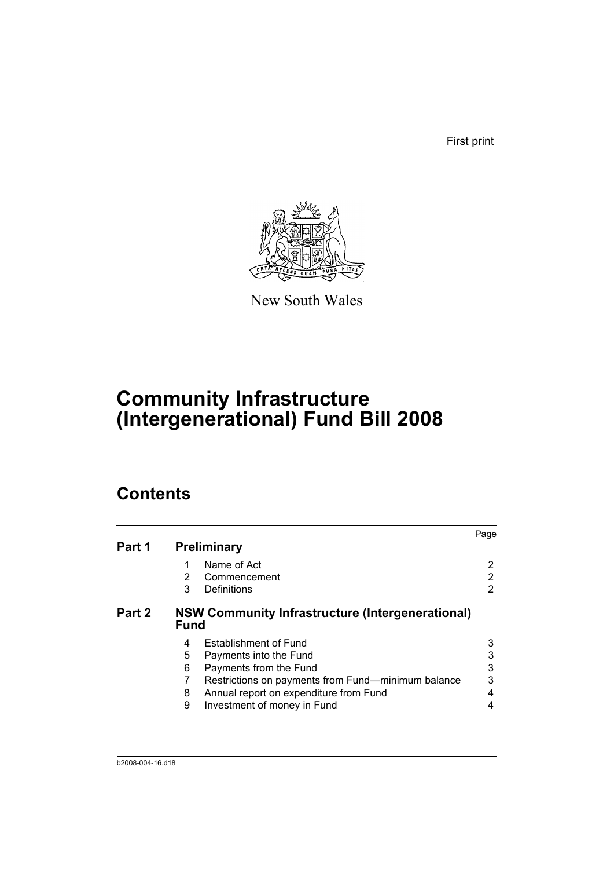First print



New South Wales

# **Community Infrastructure (Intergenerational) Fund Bill 2008**

## **Contents**

| Part 1 | <b>Preliminary</b>                                                                                                                                                                                                                            | Page        |
|--------|-----------------------------------------------------------------------------------------------------------------------------------------------------------------------------------------------------------------------------------------------|-------------|
|        | Name of Act<br>1<br>2<br>Commencement<br>3<br>Definitions                                                                                                                                                                                     | 2           |
| Part 2 | <b>NSW Community Infrastructure (Intergenerational)</b><br><b>Fund</b>                                                                                                                                                                        |             |
|        | <b>Establishment of Fund</b><br>4<br>5<br>Payments into the Fund<br>6<br>Payments from the Fund<br>7<br>Restrictions on payments from Fund—minimum balance<br>Annual report on expenditure from Fund<br>8<br>9<br>Investment of money in Fund | 3<br>3<br>4 |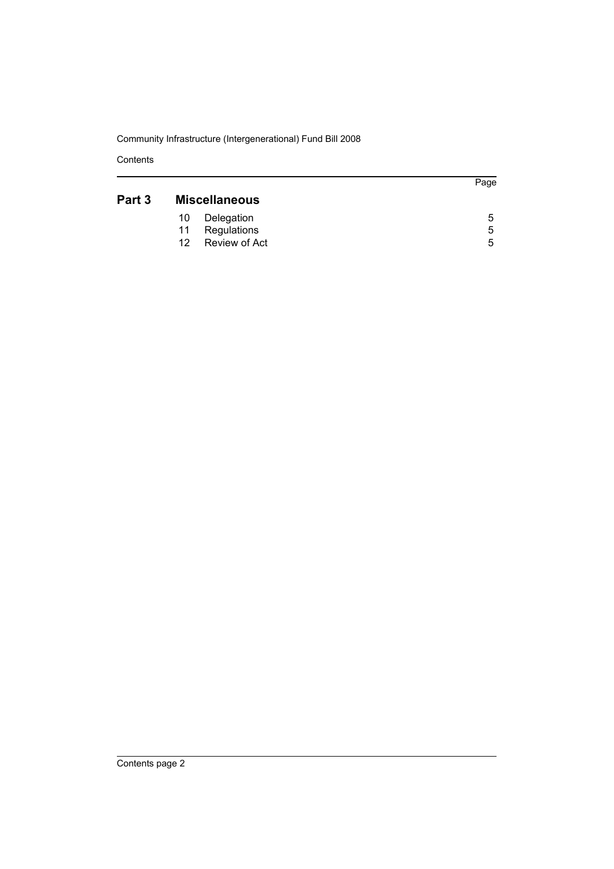Community Infrastructure (Intergenerational) Fund Bill 2008

Contents

### **[Part 3 Miscellaneous](#page-8-0)**

| 10 Delegation    | O |  |
|------------------|---|--|
| 11 Regulations   | 5 |  |
| 12 Review of Act | h |  |
|                  |   |  |

Page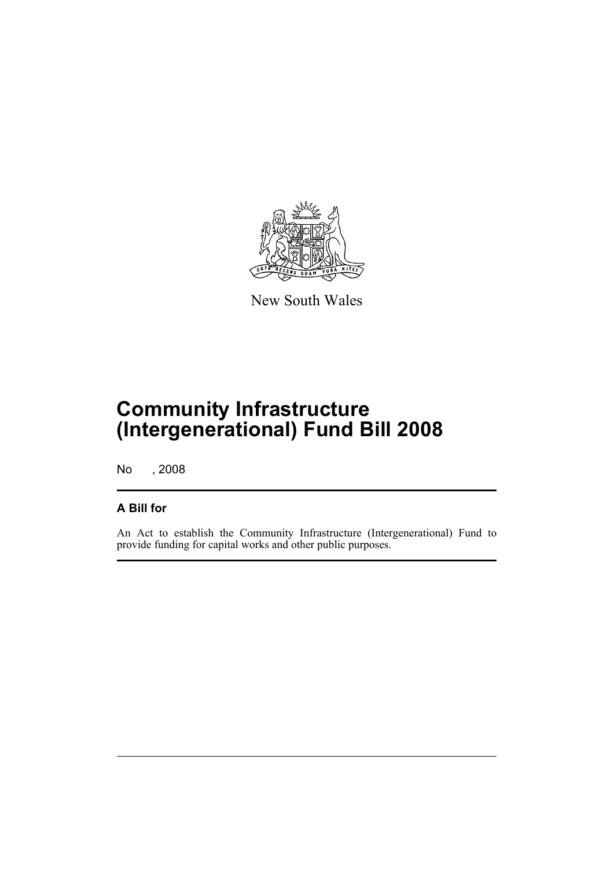

New South Wales

# **Community Infrastructure (Intergenerational) Fund Bill 2008**

No , 2008

### **A Bill for**

An Act to establish the Community Infrastructure (Intergenerational) Fund to provide funding for capital works and other public purposes.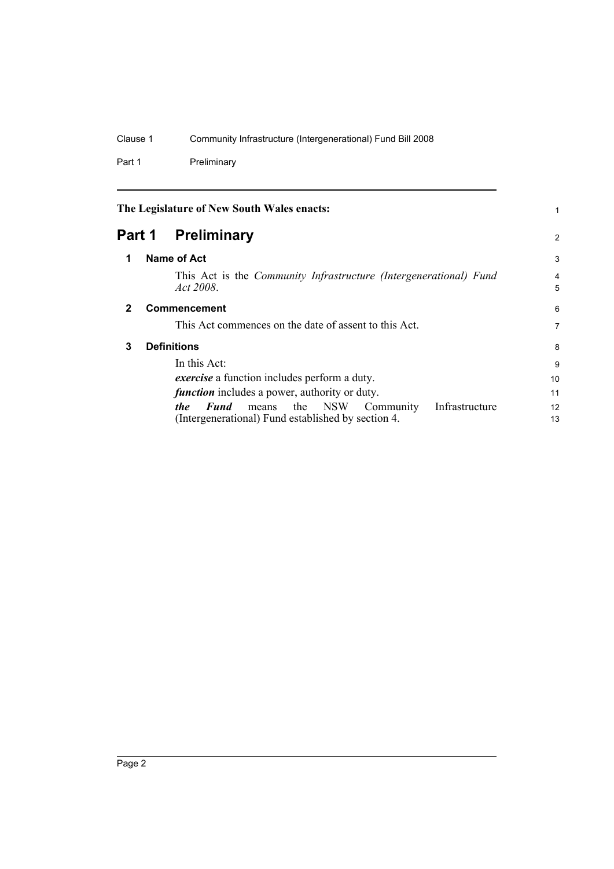### Clause 1 Community Infrastructure (Intergenerational) Fund Bill 2008

Part 1 Preliminary

<span id="page-5-3"></span><span id="page-5-2"></span><span id="page-5-1"></span><span id="page-5-0"></span>

| The Legislature of New South Wales enacts: |  | 1                                                                                                                                          |                     |
|--------------------------------------------|--|--------------------------------------------------------------------------------------------------------------------------------------------|---------------------|
| Part 1                                     |  | <b>Preliminary</b>                                                                                                                         | $\overline{2}$      |
| 1                                          |  | Name of Act                                                                                                                                | 3                   |
|                                            |  | This Act is the <i>Community Infrastructure (Intergenerational)</i> Fund<br>Act 2008.                                                      | $\overline{4}$<br>5 |
| $\mathbf{2}$                               |  | <b>Commencement</b>                                                                                                                        | 6                   |
|                                            |  | This Act commences on the date of assent to this Act.                                                                                      | 7                   |
| 3                                          |  | <b>Definitions</b>                                                                                                                         | 8                   |
|                                            |  | In this Act:                                                                                                                               | 9                   |
|                                            |  | <i>exercise</i> a function includes perform a duty.                                                                                        | 10                  |
|                                            |  | <i>function</i> includes a power, authority or duty.                                                                                       | 11                  |
|                                            |  | Infrastructure<br>Community<br>Fund<br>NSW <sub></sub><br>the<br><i>the</i><br>means<br>(Intergenerational) Fund established by section 4. | 12<br>13            |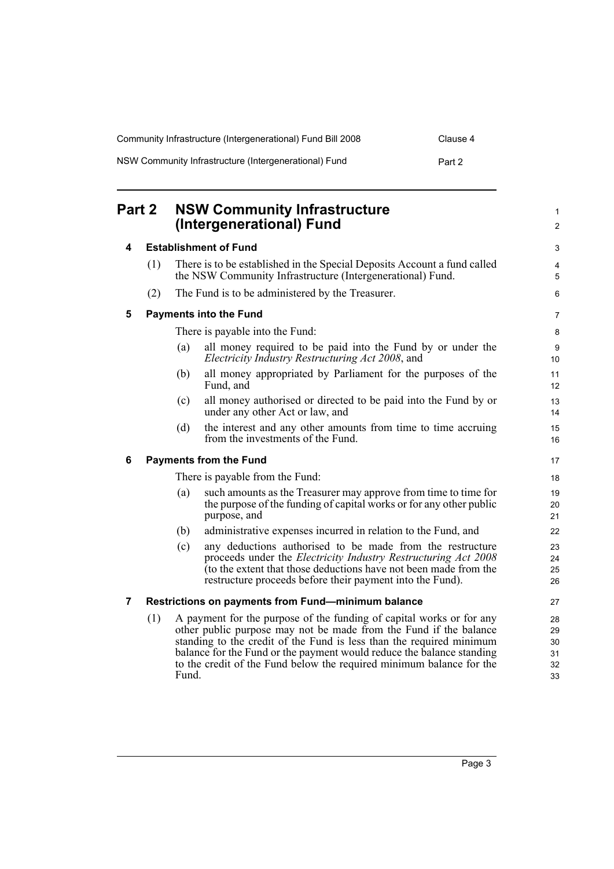| Community Infrastructure (Intergenerational) Fund Bill 2008 | Clause 4 |
|-------------------------------------------------------------|----------|
| NSW Community Infrastructure (Intergenerational) Fund       | Part 2   |

<span id="page-6-4"></span><span id="page-6-3"></span><span id="page-6-2"></span><span id="page-6-1"></span><span id="page-6-0"></span>

| Part 2 |                               |                                 | <b>NSW Community Infrastructure</b><br>(Intergenerational) Fund                                                                                                                                                                                                                                                                                                    | 1<br>$\overline{c}$              |  |
|--------|-------------------------------|---------------------------------|--------------------------------------------------------------------------------------------------------------------------------------------------------------------------------------------------------------------------------------------------------------------------------------------------------------------------------------------------------------------|----------------------------------|--|
| 4      |                               |                                 | <b>Establishment of Fund</b>                                                                                                                                                                                                                                                                                                                                       | 3                                |  |
|        | (1)                           |                                 | There is to be established in the Special Deposits Account a fund called<br>the NSW Community Infrastructure (Intergenerational) Fund.                                                                                                                                                                                                                             | 4<br>5                           |  |
|        | (2)                           |                                 | The Fund is to be administered by the Treasurer.                                                                                                                                                                                                                                                                                                                   | $\,6$                            |  |
| 5      |                               | <b>Payments into the Fund</b>   |                                                                                                                                                                                                                                                                                                                                                                    |                                  |  |
|        |                               |                                 | There is payable into the Fund:                                                                                                                                                                                                                                                                                                                                    | 8                                |  |
|        |                               | (a)                             | all money required to be paid into the Fund by or under the<br>Electricity Industry Restructuring Act 2008, and                                                                                                                                                                                                                                                    | 9<br>10                          |  |
|        |                               | (b)                             | all money appropriated by Parliament for the purposes of the<br>Fund, and                                                                                                                                                                                                                                                                                          | 11<br>12                         |  |
|        |                               | (c)                             | all money authorised or directed to be paid into the Fund by or<br>under any other Act or law, and                                                                                                                                                                                                                                                                 | 13<br>14                         |  |
|        |                               | (d)                             | the interest and any other amounts from time to time accruing<br>from the investments of the Fund.                                                                                                                                                                                                                                                                 | 15<br>16                         |  |
| 6      | <b>Payments from the Fund</b> |                                 |                                                                                                                                                                                                                                                                                                                                                                    |                                  |  |
|        |                               | There is payable from the Fund: |                                                                                                                                                                                                                                                                                                                                                                    | 18                               |  |
|        |                               | (a)                             | such amounts as the Treasurer may approve from time to time for<br>the purpose of the funding of capital works or for any other public<br>purpose, and                                                                                                                                                                                                             | 19<br>20<br>21                   |  |
|        |                               | (b)                             | administrative expenses incurred in relation to the Fund, and                                                                                                                                                                                                                                                                                                      | 22                               |  |
|        |                               | (c)                             | any deductions authorised to be made from the restructure<br>proceeds under the <i>Electricity Industry Restructuring Act 2008</i><br>(to the extent that those deductions have not been made from the<br>restructure proceeds before their payment into the Fund).                                                                                                | 23<br>24<br>25<br>26             |  |
| 7      |                               |                                 | Restrictions on payments from Fund-minimum balance                                                                                                                                                                                                                                                                                                                 | 27                               |  |
|        | (1)                           | Fund.                           | A payment for the purpose of the funding of capital works or for any<br>other public purpose may not be made from the Fund if the balance<br>standing to the credit of the Fund is less than the required minimum<br>balance for the Fund or the payment would reduce the balance standing<br>to the credit of the Fund below the required minimum balance for the | 28<br>29<br>30<br>31<br>32<br>33 |  |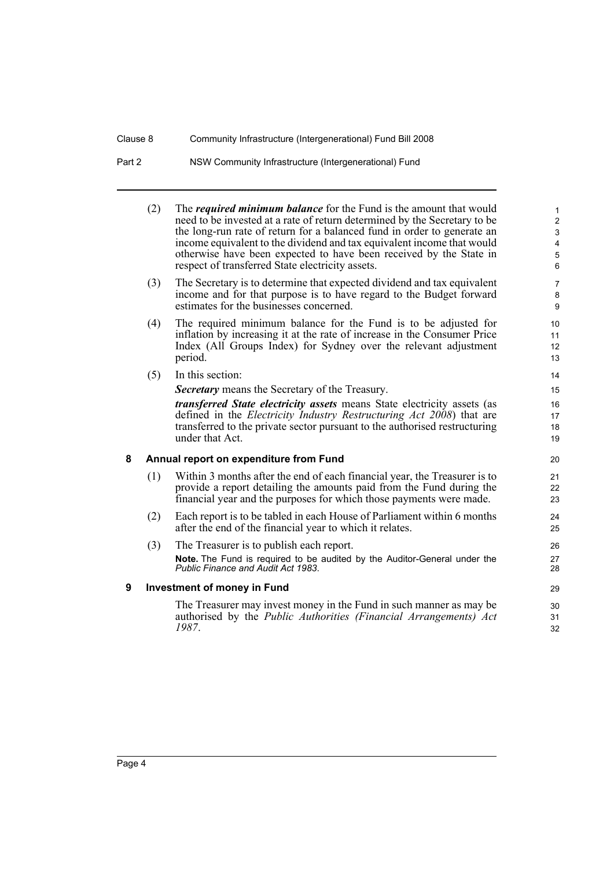### Clause 8 Community Infrastructure (Intergenerational) Fund Bill 2008

## Part 2 NSW Community Infrastructure (Intergenerational) Fund

<span id="page-7-1"></span><span id="page-7-0"></span>

|   | (2) | The <i>required minimum balance</i> for the Fund is the amount that would<br>need to be invested at a rate of return determined by the Secretary to be<br>the long-run rate of return for a balanced fund in order to generate an<br>income equivalent to the dividend and tax equivalent income that would<br>otherwise have been expected to have been received by the State in<br>respect of transferred State electricity assets. | $\mathbf{1}$<br>$\overline{c}$<br>$\mathfrak{S}$<br>$\overline{4}$<br>5<br>6 |
|---|-----|---------------------------------------------------------------------------------------------------------------------------------------------------------------------------------------------------------------------------------------------------------------------------------------------------------------------------------------------------------------------------------------------------------------------------------------|------------------------------------------------------------------------------|
|   | (3) | The Secretary is to determine that expected dividend and tax equivalent<br>income and for that purpose is to have regard to the Budget forward<br>estimates for the businesses concerned.                                                                                                                                                                                                                                             | $\overline{7}$<br>8<br>9                                                     |
|   | (4) | The required minimum balance for the Fund is to be adjusted for<br>inflation by increasing it at the rate of increase in the Consumer Price<br>Index (All Groups Index) for Sydney over the relevant adjustment<br>period.                                                                                                                                                                                                            | 10 <sup>1</sup><br>11<br>12<br>13                                            |
|   | (5) | In this section:                                                                                                                                                                                                                                                                                                                                                                                                                      | 14                                                                           |
|   |     | <b>Secretary</b> means the Secretary of the Treasury.                                                                                                                                                                                                                                                                                                                                                                                 | 15                                                                           |
|   |     | <i>transferred State electricity assets</i> means State electricity assets (as<br>defined in the <i>Electricity Industry Restructuring Act 2008</i> ) that are<br>transferred to the private sector pursuant to the authorised restructuring<br>under that Act.                                                                                                                                                                       | 16<br>17<br>18<br>19                                                         |
| 8 |     | Annual report on expenditure from Fund                                                                                                                                                                                                                                                                                                                                                                                                | 20                                                                           |
|   | (1) | Within 3 months after the end of each financial year, the Treasurer is to<br>provide a report detailing the amounts paid from the Fund during the<br>financial year and the purposes for which those payments were made.                                                                                                                                                                                                              | 21<br>22<br>23                                                               |
|   | (2) | Each report is to be tabled in each House of Parliament within 6 months<br>after the end of the financial year to which it relates.                                                                                                                                                                                                                                                                                                   | 24<br>25                                                                     |
|   | (3) | The Treasurer is to publish each report.<br>Note. The Fund is required to be audited by the Auditor-General under the<br>Public Finance and Audit Act 1983.                                                                                                                                                                                                                                                                           | 26<br>27<br>28                                                               |
| 9 |     | <b>Investment of money in Fund</b>                                                                                                                                                                                                                                                                                                                                                                                                    | 29                                                                           |
|   |     | The Treasurer may invest money in the Fund in such manner as may be<br>authorised by the Public Authorities (Financial Arrangements) Act<br>1987.                                                                                                                                                                                                                                                                                     | 30<br>31<br>32                                                               |